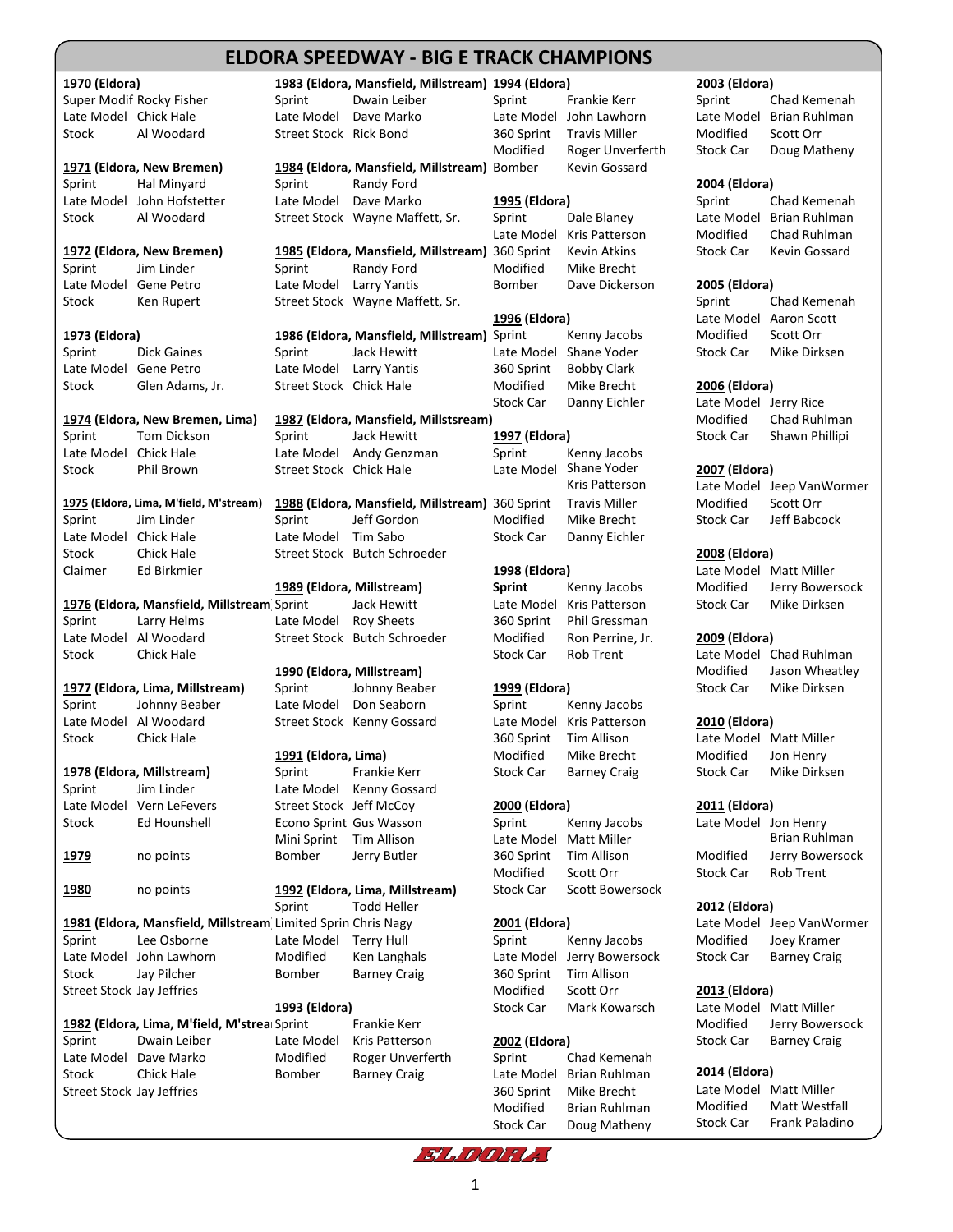## **ELDORAELDORA SPEEDWAY - MODIFIED HISTORY SPEEDWAY - BIG E TRACK CHAMPIONS**

**1970 (Eldora) 1983 (Eldora, Mansfield, Millstream) 1994 (Eldora) 2003 (Eldora)** Super Modif Rocky Fisher Sprint Dwain Leiber Sprint Frankie Kerr Sprint Chad Kemenah Late Model Chick Hale Late Model Dave Marko Late Model John Lawhorn Late Model Brian Ruhlman Stock Al Woodard Street Stock Rick Bond 360 Sprint Travis Miller Modified Scott Orr **1971 (Eldora, New Bremen) 1984 (Eldora, Mansfield, Millstream)** Bomber Kevin Gossard Sprint Hal Minyard Sprint Randy Ford **2004 (Eldora)** Late Model John Hofstetter Late Model Dave Marko **1995 (Eldora)** Sprint Chad Kemenah Stock Al Woodard Street Stock Wayne Maffett, Sr. Sprint Dale Blaney Late Model Brian Ruhlman **1972 (Eldora, New Bremen) 1985 (Eldora, Mansfield, Millstream)** 360 Sprint Kevin Atkins Stock Car Kevin Gossard Sprint Jim Linder Sprint Randy Ford Modified Mike Brecht Late Model Gene Petro Late Model Larry Yantis Bomber Dave Dickerson **2005 (Eldora)** Stock Ken Rupert Street Stock Wayne Maffett, Sr. Sprint Chad Kemenah **1973 (Eldora) <b>1986 (Eldora, Mansfield, Millstream**) Sprint Kenny Jacobs Sprint Dick Gaines Sprint Jack Hewitt Late Model Shane Yoder Stock Car Mike Dirksen Late Model Gene Petro Late Model Larry Yantis 360 Sprint Bobby Clark Stock Glen Adams, Jr. Street Stock Chick Hale Modified Mike Brecht **2006 (Eldora) 1974 (Eldora, New Bremen, Lima) 1987 (Eldora, Mansfield, Millstsream)** Modified Chad Ruhlman Sprint Tom Dickson Sprint Jack Hewitt **1997 (Eldora)** Stock Car Shawn Phillipi Late Model Chick Hale **Late Model Andy Genzman** Sprint Kenny Jacobs Stock Phil Brown Street Stock Chick Hale Late Model Shane Yoder **2007 (Eldora) 1975 (Eldora, Lima, M'field, M'stream) 1988 (Eldora, Mansfield, Millstream)** 360 Sprint Travis Miller Modified Scott Orr Sprint Jim Linder Sprint Jeff Gordon Modified Mike Brecht Stock Car Jeff Babcock Late Model Chick Hale **Late Model Tim Sabo** Stock Car Danny Eichler Stock Chick Hale Street Stock Butch Schroeder **2008 (Eldora)** Claimer Ed Birkmier **1998 (Eldora)** Late Model Matt Miller 1976 (Eldora, Mansfield, Millstream Sprint Jack Hewitt Late Model Kris Patterson Stock Car Mike Dirksen Sprint Larry Helms Late Model Roy Sheets 360 Sprint Phil Gressman Late Model Al Woodard Street Stock Butch Schroeder Modified Ron Perrine, Jr. **2009 (Eldora)** Stock Chick Hale Chick Hale Stock Car Rob Trent Late Model Chad Ruhlman **1977 (Eldora, Lima, Millstream)** Sprint Johnny Beaber **1999 (Eldora)** Stock Car Mike Dirksen Sprint Johnny Beaber Late Model Don Seaborn Sprint Kenny Jacobs Late Model Al Woodard Street Stock Kenny Gossard Late Model Kris Patterson **2010 (Eldora)** Stock Chick Hale 360 Sprint Tim Allison Late Model Matt Miller 1978 (Eldora, Millstream) Sprint Frankie Kerr Stock Car Barney Craig Stock Car Mike Dirksen Sprint Jim Linder Late Model Kenny Gossard Late Model Vern LeFevers Street Stock Jeff McCoy **2000 (Eldora) 2011 (Eldora)** Stock Ed Hounshell Econo Sprint Gus Wasson Sprint Kenny Jacobs Late Model Jon Henry<br>Mini Sprint Tim Allison Late Model Matt Miller Brian Ruhlman **1979** no points Bomber Jerry Butler 360 Sprint Tim Allison Modified Jerry Bowersock **1980** no points **1992 (Eldora, Lima, Millstream)** Stock Car Scott Bowersock **1981 (Eldora, Mansfield, Millstream)**Limited Sprin Chris Nagy **2001 (Eldora)** Late Model Jeep VanWormer Sprint Lee Osborne Late Model Terry Hull Sprint Kenny Jacobs Modified Joey Kramer Late Model John Lawhorn Modified Ken Langhals Late Model Jerry Bowersock Stock Car Barney Craig Stock Jay Pilcher **Bomber** Barney Craig 360 Sprint Tim Allison Street Stock Jay Jeffries **Modified** Scott Orr **2013 (Eldora) Modified** Scott Orr **2013 (Eldora)** 1982 (Eldora, Lima, M'field, M'strea**i Sprint Frankie Kerr** Modified Jerry Bowersock Sprint Dwain Leiber Late Model Kris Patterson **2002 (Eldora)** Stock Car Barney Craig Late Model Dave Marko **Modified** Roger Unverferth Sprint Chad Kemenah Stock Chick Hale **Bomber Barney Craig Late Model Brian Ruhlman** 2014 (Eldora) Street Stock Jay Jeffries **360 Sprint Mike Brecht** Late Model Matt Miller<br>Modified Rrian Ruhlman Modified Matt Westfall

Mini Sprint Tim Allison Late Model Matt Miller

# Modified Roger Unverferth Stock Car Doug Matheny Late Model Kris Patterson Modified Chad Ruhlman **1996 (Eldora)** Late Model Aaron Scott Stock Car Danny Eichler Late Model Jerry Rice **1989 (Eldora, Millstream) Sprint** Kenny Jacobs Modified Jerry Bowersock **1990 (Eldora, Millstream)** Modified Jason Wheatley **1991 (Eldora, Lima)** Modified Mike Brecht Modified Jon Henry Modified Scott Orr Stock Car Rob Trent Sprint Todd Heller **2012 (Eldora) 1993 (Eldora)** Stock Car Mark Kowarsch Late Model Matt Miller

Modified Brian Ruhlman Modified Matt Westfall Stock Car Doug Matheny

Late Model Jeep VanWormer